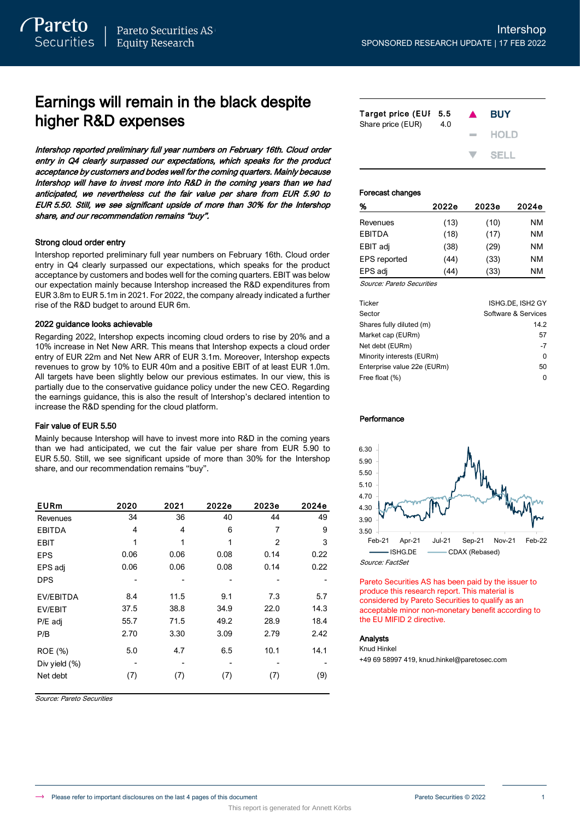# Earnings will remain in the black despite higher R&D expenses

Intershop reported preliminary full year numbers on February 16th. Cloud order entry in Q4 clearly surpassed our expectations, which speaks for the product acceptance by customers and bodes well for the coming quarters. Mainly because Intershop will have to invest more into R&D in the coming years than we had anticipated, we nevertheless cut the fair value per share from EUR 5.90 to EUR 5.50. Still, we see significant upside of more than 30% for the Intershop share, and our recommendation remains "buy".

### Strong cloud order entry

Intershop reported preliminary full year numbers on February 16th. Cloud order entry in Q4 clearly surpassed our expectations, which speaks for the product acceptance by customers and bodes well for the coming quarters. EBIT was below our expectation mainly because Intershop increased the R&D expenditures from EUR 3.8m to EUR 5.1m in 2021. For 2022, the company already indicated a further rise of the R&D budget to around EUR 6m.

## 2022 guidance looks achievable

Regarding 2022, Intershop expects incoming cloud orders to rise by 20% and a 10% increase in Net New ARR. This means that Intershop expects a cloud order entry of EUR 22m and Net New ARR of EUR 3.1m. Moreover, Intershop expects revenues to grow by 10% to EUR 40m and a positive EBIT of at least EUR 1.0m. All targets have been slightly below our previous estimates. In our view, this is partially due to the conservative guidance policy under the new CEO. Regarding the earnings guidance, this is also the result of Intershop's declared intention to increase the R&D spending for the cloud platform.

## Fair value of EUR 5.50

Mainly because Intershop will have to invest more into R&D in the coming years than we had anticipated, we cut the fair value per share from EUR 5.90 to EUR 5.50. Still, we see significant upside of more than 30% for the Intershop share, and our recommendation remains "buy".

| <b>EURm</b>    | 2020 | 2021 | 2022e | 2023e | 2024e |
|----------------|------|------|-------|-------|-------|
| Revenues       | 34   | 36   | 40    | 44    | 49    |
| <b>EBITDA</b>  | 4    | 4    | 6     | 7     | 9     |
| <b>EBIT</b>    | 1    | 1    | 1     | 2     | 3     |
| <b>EPS</b>     | 0.06 | 0.06 | 0.08  | 0.14  | 0.22  |
| EPS adj        | 0.06 | 0.06 | 0.08  | 0.14  | 0.22  |
| <b>DPS</b>     |      |      |       |       |       |
| EV/EBITDA      | 8.4  | 11.5 | 9.1   | 7.3   | 5.7   |
| <b>EV/EBIT</b> | 37.5 | 38.8 | 34.9  | 22.0  | 14.3  |
| P/E adj        | 55.7 | 71.5 | 49.2  | 28.9  | 18.4  |
| P/B            | 2.70 | 3.30 | 3.09  | 2.79  | 2.42  |
| ROE (%)        | 5.0  | 4.7  | 6.5   | 10.1  | 14.1  |
| Div yield (%)  |      |      |       |       |       |
| Net debt       | (7)  | (7)  | (7)   | (7)   | (9)   |

Source: Pareto Securities

| Target price (EUI 5.5<br>Share price (EUR) | 4.0 | $\blacktriangle$ | <b>BUY</b>                |
|--------------------------------------------|-----|------------------|---------------------------|
|                                            |     |                  | $-$ HOLD                  |
|                                            |     |                  | $\blacktriangledown$ SFLL |

### Forecast changes

| %                            | 2022e | 2023e | 2024e |
|------------------------------|-------|-------|-------|
| Revenues                     | (13)  | (10)  | NM    |
| <b>EBITDA</b>                | (18)  | (17)  | NM    |
| EBIT adj                     | (38)  | (29)  | NM    |
| <b>EPS</b> reported          | (44)  | (33)  | NM    |
| EPS adj                      | (44)  | (33)  | NM    |
| $\sim$<br>$\sim$ $\sim$<br>- |       |       |       |

Source: Pareto Securities

| <b>Ticker</b>               | ISHG.DE. ISH2 GY    |
|-----------------------------|---------------------|
| Sector                      | Software & Services |
| Shares fully diluted (m)    | 14.2                |
| Market cap (EURm)           | 57                  |
| Net debt (EURm)             | $-7$                |
| Minority interests (EURm)   | O                   |
| Enterprise value 22e (EURm) | 50                  |
| Free float (%)              | O                   |

### Performance



Pareto Securities AS has been paid by the issuer to produce this research report. This material is considered by Pareto Securities to qualify as an acceptable minor non-monetary benefit according to the EU MIFID 2 directive.

### Analysts

Knud Hinkel

+49 69 58997 419, knud.hinkel@paretosec.com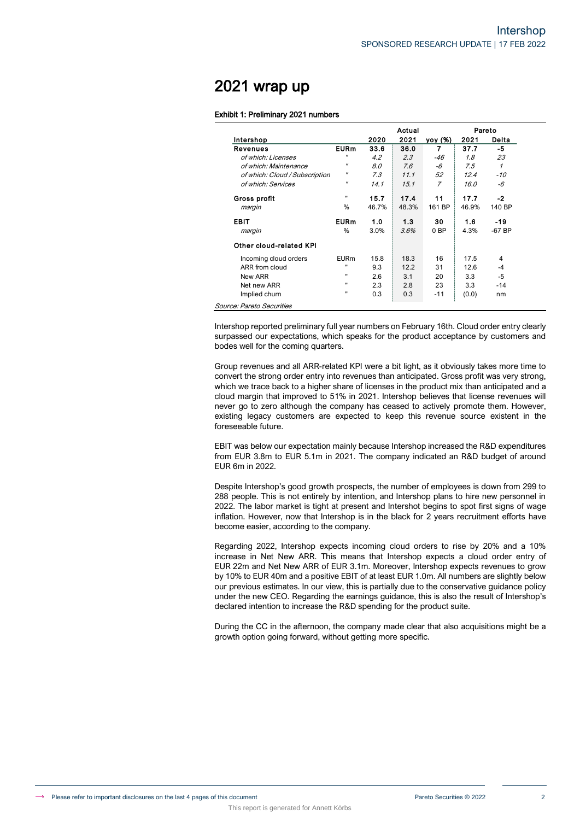# 2021 wrap up

 $SO<sub>c</sub>$ 

### Exhibit 1: Preliminary 2021 numbers

Source: Pareto, Company data

This report is generated for Annett Körbs

|                                |                   |       | Actual |                 |       | Pareto   |
|--------------------------------|-------------------|-------|--------|-----------------|-------|----------|
| Intershop                      |                   | 2020  | 2021   | <u>yoy (%)</u>  | 2021  | Delta    |
| Revenues                       | <b>EURm</b>       | 33.6  | 36.0   | 7               | 37.7  | -5       |
| of which: Licenses             | $^{\prime\prime}$ | 4.2   | 2.3    | $-46$           | 1.8   | 23       |
| of which: Maintenance          | $^{\prime\prime}$ | 8.0   | 7.6    | -6              | 7.5   | 1        |
| of which: Cloud / Subscription | $^{\prime\prime}$ | 7.3   | 11.1   | 52              | 12.4  | -10      |
| of which: Services             | $^{\prime\prime}$ | 14.1  | 15.1   | 7               | 16.0  | -6       |
| Gross profit                   |                   | 15.7  | 17.4   | 11              | 17.7  | $-2$     |
| margin                         | $\%$              | 46.7% | 48.3%  | 161 BP          | 46.9% | 140 BP   |
| EBIT                           | <b>EURm</b>       | 1.0   | 1.3    | 30              | 1.6   | -19      |
| margin                         | %                 | 3.0%  | 3.6%   | 0 <sub>BP</sub> | 4.3%  | $-67$ BP |
| Other cloud-related KPI        |                   |       |        |                 |       |          |
| Incoming cloud orders          | <b>EURm</b>       | 15.8  | 18.3   | 16              | 17.5  | 4        |
| ARR from cloud                 | н                 | 9.3   | 12.2   | 31              | 12.6  | $-4$     |
| New ARR                        |                   | 2.6   | 3.1    | 20              | 3.3   | -5       |
| Net new ARR                    |                   | 2.3   | 2.8    | 23              | 3.3   | $-14$    |
| Implied churn                  | $\mathbf{u}$      | 0.3   | 0.3    | $-11$           | (0.0) | nm       |

Intershop reported preliminary full year numbers on February 16th. Cloud order entry clearly surpassed our expectations, which speaks for the product acceptance by customers and bodes well for the coming quarters.

Group revenues and all ARR-related KPI were a bit light, as it obviously takes more time to convert the strong order entry into revenues than anticipated. Gross profit was very strong, which we trace back to a higher share of licenses in the product mix than anticipated and a cloud margin that improved to 51% in 2021. Intershop believes that license revenues will never go to zero although the company has ceased to actively promote them. However, existing legacy customers are expected to keep this revenue source existent in the foreseeable future.

EBIT was below our expectation mainly because Intershop increased the R&D expenditures from EUR 3.8m to EUR 5.1m in 2021. The company indicated an R&D budget of around EUR 6m in 2022.

Despite Intershop's good growth prospects, the number of employees is down from 299 to 288 people. This is not entirely by intention, and Intershop plans to hire new personnel in 2022. The labor market is tight at present and Intershot begins to spot first signs of wage inflation. However, now that Intershop is in the black for 2 years recruitment efforts have become easier, according to the company.

Regarding 2022, Intershop expects incoming cloud orders to rise by 20% and a 10% increase in Net New ARR. This means that Intershop expects a cloud order entry of EUR 22m and Net New ARR of EUR 3.1m. Moreover, Intershop expects revenues to grow by 10% to EUR 40m and a positive EBIT of at least EUR 1.0m. All numbers are slightly below our previous estimates. In our view, this is partially due to the conservative guidance policy under the new CEO. Regarding the earnings guidance, this is also the result of Intershop's declared intention to increase the R&D spending for the product suite.

During the CC in the afternoon, the company made clear that also acquisitions might be a growth option going forward, without getting more specific.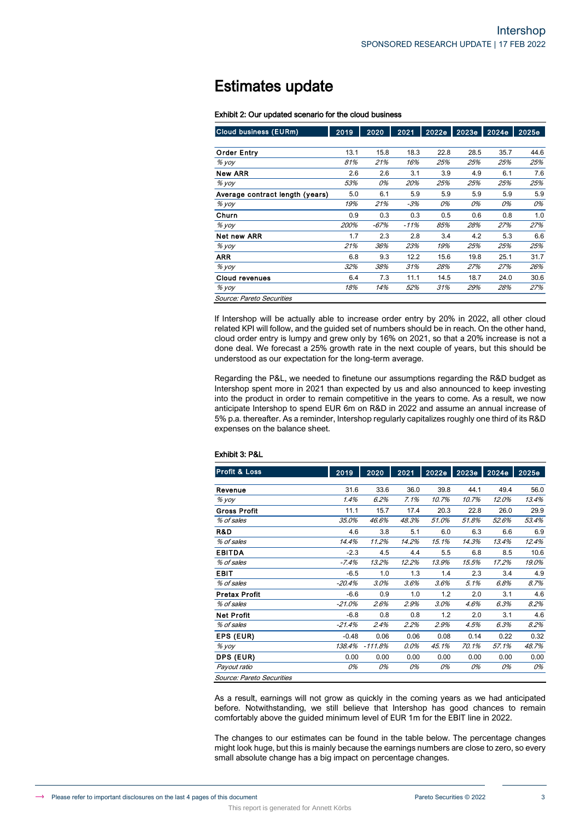# Estimates update

### Exhibit 2: Our updated scenario for the cloud business

| <b>Cloud business (EURm)</b>    | 2019 | 2020   | 2021   | 2022e | 2023e | 2024e | 2025e |
|---------------------------------|------|--------|--------|-------|-------|-------|-------|
|                                 |      |        |        |       |       |       |       |
| <b>Order Entry</b>              | 13.1 | 15.8   | 18.3   | 22.8  | 28.5  | 35.7  | 44.6  |
| $%$ yoy                         | 81%  | 21%    | 16%    | 25%   | 25%   | 25%   | 25%   |
| <b>New ARR</b>                  | 2.6  | 2.6    | 3.1    | 3.9   | 4.9   | 6.1   | 7.6   |
| $%$ yoy                         | 53%  | 0%     | 20%    | 25%   | 25%   | 25%   | 25%   |
| Average contract length (years) | 5.0  | 6.1    | 5.9    | 5.9   | 5.9   | 5.9   | 5.9   |
| $%$ yoy                         | 19%  | 21%    | -3%    | 0%    | 0%    | 0%    | 0%    |
| Churn                           | 0.9  | 0.3    | 0.3    | 0.5   | 0.6   | 0.8   | 1.0   |
| $%$ yoy                         | 200% | $-67%$ | $-11%$ | 85%   | 28%   | 27%   | 27%   |
| Net new ARR                     | 1.7  | 2.3    | 2.8    | 3.4   | 4.2   | 5.3   | 6.6   |
| $%$ yoy                         | 21%  | 36%    | 23%    | 19%   | 25%   | 25%   | 25%   |
| <b>ARR</b>                      | 6.8  | 9.3    | 12.2   | 15.6  | 19.8  | 25.1  | 31.7  |
| $%$ yoy                         | 32%  | 38%    | 31%    | 28%   | 27%   | 27%   | 26%   |
| <b>Cloud revenues</b>           | 6.4  | 7.3    | 11.1   | 14.5  | 18.7  | 24.0  | 30.6  |
| $%$ yoy                         | 18%  | 14%    | 52%    | 31%   | 29%   | 28%   | 27%   |
| Source: Pareto Securities       |      |        |        |       |       |       |       |

If Intershop will be actually able to increase order entry by 20% in 2022, all other cloud related KPI will follow, and the guided set of numbers should be in reach. On the other hand, cloud order entry is lumpy and grew only by 16% on 2021, so that a 20% increase is not a done deal. We forecast a 25% growth rate in the next couple of years, but this should be understood as our expectation for the long-term average.

Regarding the P&L, we needed to finetune our assumptions regarding the R&D budget as Intershop spent more in 2021 than expected by us and also announced to keep investing into the product in order to remain competitive in the years to come. As a result, we now anticipate Intershop to spend EUR 6m on R&D in 2022 and assume an annual increase of 5% p.a. thereafter. As a reminder, Intershop regularly capitalizes roughly one third of its R&D expenses on the balance sheet.

| <b>Profit &amp; Loss</b>  | 2019     | 2020      | 2021  | 2022e | 2023e | 2024e | 2025e |
|---------------------------|----------|-----------|-------|-------|-------|-------|-------|
|                           |          |           |       |       |       |       |       |
| Revenue                   | 31.6     | 33.6      | 36.0  | 39.8  | 44.1  | 49.4  | 56.0  |
| % yoy                     | 1.4%     | 6.2%      | 7.1%  | 10.7% | 10.7% | 12.0% | 13.4% |
| <b>Gross Profit</b>       | 11.1     | 15.7      | 17.4  | 20.3  | 22.8  | 26.0  | 29.9  |
| % of sales                | 35.0%    | 46.6%     | 48.3% | 51.0% | 51.8% | 52.6% | 53.4% |
| R&D                       | 4.6      | 3.8       | 5.1   | 6.0   | 6.3   | 6.6   | 6.9   |
| % of sales                | 14.4%    | 11.2%     | 14.2% | 15.1% | 14.3% | 13.4% | 12.4% |
| <b>EBITDA</b>             | $-2.3$   | 4.5       | 4.4   | 5.5   | 6.8   | 8.5   | 10.6  |
| % of sales                | $-7.4%$  | 13.2%     | 12.2% | 13.9% | 15.5% | 17.2% | 19.0% |
| <b>EBIT</b>               | $-6.5$   | 1.0       | 1.3   | 1.4   | 2.3   | 3.4   | 4.9   |
| % of sales                | $-20.4%$ | 3.0%      | 3.6%  | 3.6%  | 5.1%  | 6.8%  | 8.7%  |
| <b>Pretax Profit</b>      | $-6.6$   | 0.9       | 1.0   | 1.2   | 2.0   | 3.1   | 4.6   |
| % of sales                | $-21.0%$ | 2.6%      | 2.9%  | 3.0%  | 4.6%  | 6.3%  | 8.2%  |
| <b>Net Profit</b>         | $-6.8$   | 0.8       | 0.8   | 1.2   | 2.0   | 3.1   | 4.6   |
| % of sales                | $-21.4%$ | 2.4%      | 2.2%  | 2.9%  | 4.5%  | 6.3%  | 8.2%  |
| EPS (EUR)                 | $-0.48$  | 0.06      | 0.06  | 0.08  | 0.14  | 0.22  | 0.32  |
| % yoy                     | 138.4%   | $-111.8%$ | 0.0%  | 45.1% | 70.1% | 57.1% | 48.7% |
| DPS (EUR)                 | 0.00     | 0.00      | 0.00  | 0.00  | 0.00  | 0.00  | 0.00  |
| Payout ratio              | 0%       | 0%        | 0%    | 0%    | 0%    | 0%    | 0%    |
| Source: Pareto Securities |          |           |       |       |       |       |       |

### Exhibit 3: P&L

As a result, earnings will not grow as quickly in the coming years as we had anticipated before. Notwithstanding, we still believe that Intershop has good chances to remain comfortably above the guided minimum level of EUR 1m for the EBIT line in 2022.

The changes to our estimates can be found in the table below. The percentage changes might look huge, but this is mainly because the earnings numbers are close to zero, so every small absolute change has a big impact on percentage changes.

This report is generated for Annett Körbs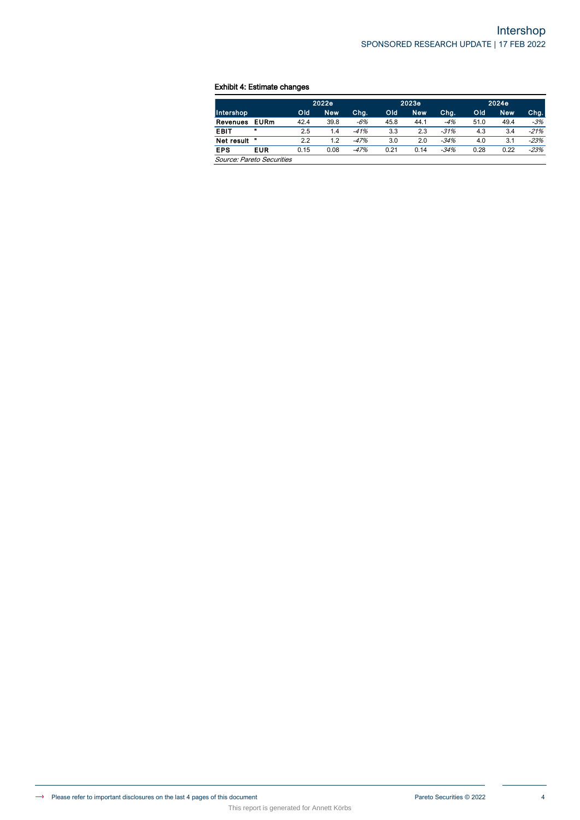## Exhibit 4: Estimate changes

|                           |              |      | 2022e      |        |      | 2023e      |        |      | 2024e |        |  |
|---------------------------|--------------|------|------------|--------|------|------------|--------|------|-------|--------|--|
| Intershop                 |              | Old  | <b>New</b> | Chg.   | Old  | <b>New</b> | Chg.   | Old  | New.  | Chg.   |  |
| Revenues                  | <b>EURm</b>  | 42.4 | 39.8       | $-6%$  | 45.8 | 44.1       | $-4%$  | 51.0 | 49.4  | $-3%$  |  |
| <b>EBIT</b>               | $\mathbf{u}$ | 2.5  | 1.4        | $-41%$ | 3.3  | 2.3        | $-31%$ | 4.3  | 3.4   | $-21%$ |  |
| Net result                | n            | 2.2  | 1.2        | $-47%$ | 3.0  | 2.0        | $-34%$ | 4.0  | 3.1   | $-23%$ |  |
| <b>EPS</b>                | <b>EUR</b>   | 0.15 | 0.08       | $-47%$ | 0.21 | 0.14       | $-34%$ | 0.28 | 0.22  | $-23%$ |  |
| Source: Pareto Securities |              |      |            |        |      |            |        |      |       |        |  |

This report is generated for Annett Körbs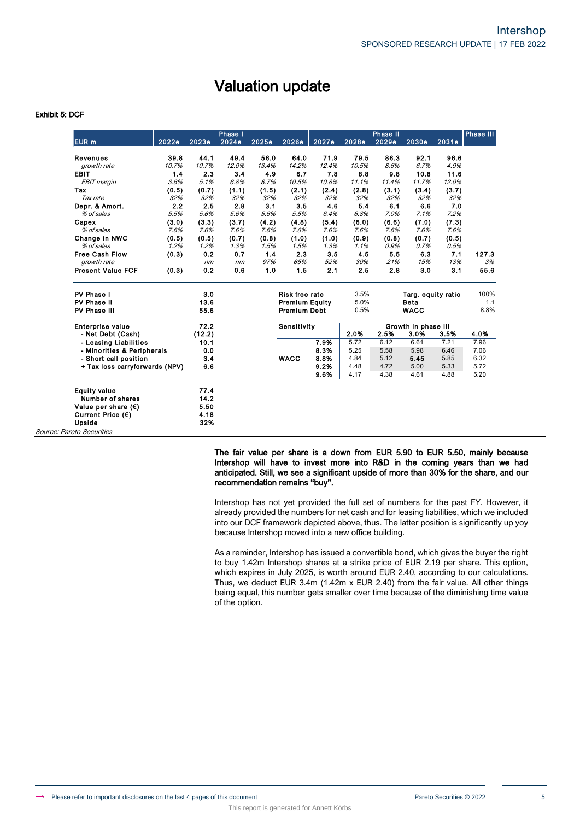# Valuation update

## Exhibit 5: DCF

|                                |       |        | Phase I |       |                       |       |       | Phase II |                     |       | <b>Phase III</b> |
|--------------------------------|-------|--------|---------|-------|-----------------------|-------|-------|----------|---------------------|-------|------------------|
| <b>EUR</b> m                   | 2022e | 2023e  | 2024e   | 2025e | 2026e                 | 2027e | 2028e | 2029e    | 2030e               | 2031e |                  |
| <b>Revenues</b>                | 39.8  | 44.1   | 49.4    | 56.0  | 64.0                  | 71.9  | 79.5  | 86.3     | 92.1                | 96.6  |                  |
| growth rate                    | 10.7% | 10.7%  | 12.0%   | 13.4% | 14.2%                 | 12.4% | 10.5% | 8.6%     | 6.7%                | 4.9%  |                  |
| <b>EBIT</b>                    | 1.4   | 2.3    | 3.4     | 4.9   | 6.7                   | 7.8   | 8.8   | 9.8      | 10.8                | 11.6  |                  |
| <b>EBIT</b> margin             | 3.6%  | 5.1%   | 6.8%    | 8.7%  | 10.5%                 | 10.8% | 11.1% | 11.4%    | 11.7%               | 12.0% |                  |
| Tax                            | (0.5) | (0.7)  | (1.1)   | (1.5) | (2.1)                 | (2.4) | (2.8) | (3.1)    | (3.4)               | (3.7) |                  |
| Tax rate                       | 32%   | 32%    | 32%     | 32%   | 32%                   | 32%   | 32%   | 32%      | 32%                 | 32%   |                  |
| Depr. & Amort.                 | 2.2   | 2.5    | 2.8     | 3.1   | 3.5                   | 4.6   | 5.4   | 6.1      | 6.6                 | 7.0   |                  |
| % of sales                     | 5.5%  | 5.6%   | 5.6%    | 5.6%  | 5.5%                  | 6.4%  | 6.8%  | 7.0%     | 7.1%                | 7.2%  |                  |
| Capex                          | (3.0) | (3.3)  | (3.7)   | (4.2) | (4.8)                 | (5.4) | (6.0) | (6.6)    | (7.0)               | (7.3) |                  |
| % of sales                     | 7.6%  | 7.6%   | 7.6%    | 7.6%  | 7.6%                  | 7.6%  | 7.6%  | 7.6%     | 7.6%                | 7.6%  |                  |
| Change in NWC                  | (0.5) | (0.5)  | (0.7)   | (0.8) | (1.0)                 | (1.0) | (0.9) | (0.8)    | (0.7)               | (0.5) |                  |
| % of sales                     | 1.2%  | 1.2%   | 1.3%    | 1.5%  | 1.5%                  | 1.3%  | 1.1%  | 0.9%     | 0.7%                | 0.5%  |                  |
| <b>Free Cash Flow</b>          | (0.3) | 0.2    | 0.7     | 1.4   | 2.3                   | 3.5   | 4.5   | 5.5      | 6.3                 | 7.1   | 127.3            |
| arowth rate                    |       | nm     | nm      | 97%   | 65%                   | 52%   | 30%   | 21%      | 15%                 | 13%   | 3%               |
| <b>Present Value FCF</b>       | (0.3) | 0.2    | 0.6     | 1.0   | 1.5                   | 2.1   | 2.5   | 2.8      | 3 <sub>0</sub>      | 3.1   | 55.6             |
| PV Phase I                     |       | 3.0    |         |       | Risk free rate        |       | 3.5%  |          | Targ. equity ratio  |       | 100%             |
| PV Phase II                    |       | 13.6   |         |       | <b>Premium Equity</b> |       | 5.0%  |          | <b>Beta</b>         |       | 1.1              |
| PV Phase III                   |       | 55.6   |         |       | <b>Premium Debt</b>   |       | 0.5%  |          | <b>WACC</b>         |       | 8.8%             |
| <b>Enterprise value</b>        |       | 72.2   |         |       | Sensitivity           |       |       |          | Growth in phase III |       |                  |
| - Net Debt (Cash)              |       | (12.2) |         |       |                       |       | 2.0%  | 2.5%     | 3.0%                | 3.5%  | 4.0%             |
| - Leasing Liabilities          |       | 10.1   |         |       |                       | 7.9%  | 5.72  | 6.12     | 6.61                | 7.21  | 7.96             |
| - Minorities & Peripherals     |       | 0.0    |         |       |                       | 8.3%  | 5.25  | 5.58     | 5.98                | 6.46  | 7.06             |
| - Short call position          |       | 3.4    |         |       | <b>WACC</b>           | 8.8%  | 4.84  | 5.12     | 5.45                | 5.85  | 6.32             |
| + Tax loss carryforwards (NPV) |       | 6.6    |         |       |                       | 9.2%  | 4.48  | 4.72     | 5.00                | 5.33  | 5.72             |
|                                |       |        |         |       |                       | 9.6%  | 4.17  | 4.38     | 4.61                | 4.88  | 5.20             |
| <b>Equity value</b>            |       | 77.4   |         |       |                       |       |       |          |                     |       |                  |
| Number of shares               |       | 14.2   |         |       |                       |       |       |          |                     |       |                  |
| Value per share $(\epsilon)$   |       | 5.50   |         |       |                       |       |       |          |                     |       |                  |
| Current Price $(\epsilon)$     |       | 4.18   |         |       |                       |       |       |          |                     |       |                  |
| Upside                         |       | 32%    |         |       |                       |       |       |          |                     |       |                  |
| Source: Pareto Securities      |       |        |         |       |                       |       |       |          |                     |       |                  |

This report is generated for Annett Körbs

The fair value per share is a down from EUR 5.90 to EUR 5.50, mainly because Intershop will have to invest more into R&D in the coming years than we had anticipated. Still, we see a significant upside of more than 30% for the share, and our recommendation remains "buy".

Intershop has not yet provided the full set of numbers for the past FY. However, it already provided the numbers for net cash and for leasing liabilities, which we included into our DCF framework depicted above, thus. The latter position is significantly up yoy because Intershop moved into a new office building.

As a reminder, Intershop has issued a convertible bond, which gives the buyer the right to buy 1.42m Intershop shares at a strike price of EUR 2.19 per share. This option, which expires in July 2025, is worth around EUR 2.40, according to our calculations. Thus, we deduct EUR 3.4m (1.42m x EUR 2.40) from the fair value. All other things being equal, this number gets smaller over time because of the diminishing time value of the option.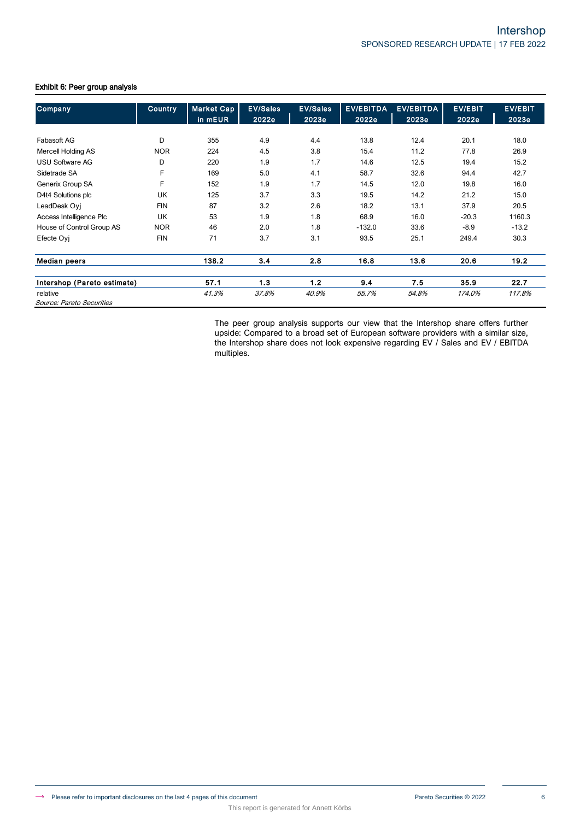| Company                     | <b>Country</b> | <b>Market Cap</b> | <b>EV/Sales</b> | <b>EV/Sales</b> | <b>EV/EBITDA</b> | <b>EV/EBITDA</b> | <b>EV/EBIT</b> | <b>EV/EBIT</b> |
|-----------------------------|----------------|-------------------|-----------------|-----------------|------------------|------------------|----------------|----------------|
|                             |                | in mEUR           | 2022e           | 2023e           | 2022e            | 2023e            | 2022e          | 2023e          |
|                             |                |                   |                 |                 |                  |                  |                |                |
| Fabasoft AG                 | D              | 355               | 4.9             | 4.4             | 13.8             | 12.4             | 20.1           | 18.0           |
| <b>Mercell Holding AS</b>   | <b>NOR</b>     | 224               | 4.5             | 3.8             | 15.4             | 11.2             | 77.8           | 26.9           |
| <b>USU Software AG</b>      | D              | 220               | 1.9             | 1.7             | 14.6             | 12.5             | 19.4           | 15.2           |
| Sidetrade SA                | F              | 169               | 5.0             | 4.1             | 58.7             | 32.6             | 94.4           | 42.7           |
| Generix Group SA            | F              | 152               | 1.9             | 1.7             | 14.5             | 12.0             | 19.8           | 16.0           |
| D4t4 Solutions plc          | UK             | 125               | 3.7             | 3.3             | 19.5             | 14.2             | 21.2           | 15.0           |
| LeadDesk Oyj                | <b>FIN</b>     | 87                | 3.2             | 2.6             | 18.2             | 13.1             | 37.9           | 20.5           |
| Access Intelligence Plc     | <b>UK</b>      | 53                | 1.9             | 1.8             | 68.9             | 16.0             | $-20.3$        | 1160.3         |
| House of Control Group AS   | <b>NOR</b>     | 46                | 2.0             | 1.8             | $-132.0$         | 33.6             | $-8.9$         | $-13.2$        |
| Efecte Ovi                  | <b>FIN</b>     | 71                | 3.7             | 3.1             | 93.5             | 25.1             | 249.4          | 30.3           |
| <b>Median peers</b>         |                | 138.2             | 3.4             | 2.8             | 16.8             | 13.6             | 20.6           | 19.2           |
| Intershop (Pareto estimate) |                | 57.1              | 1.3             | 1.2             | 9.4              | 7.5              | 35.9           | 22.7           |
| relative                    |                | 41.3%             | 37.8%           | 40.9%           | 55.7%            | 54.8%            | 174.0%         | 117.8%         |
| Source: Pareto Securities   |                |                   |                 |                 |                  |                  |                |                |

This report is generated for Annett Körbs

## Exhibit 6: Peer group analysis

The peer group analysis supports our view that the Intershop share offers further upside: Compared to a broad set of European software providers with a similar size, the Intershop share does not look expensive regarding EV / Sales and EV / EBITDA multiples.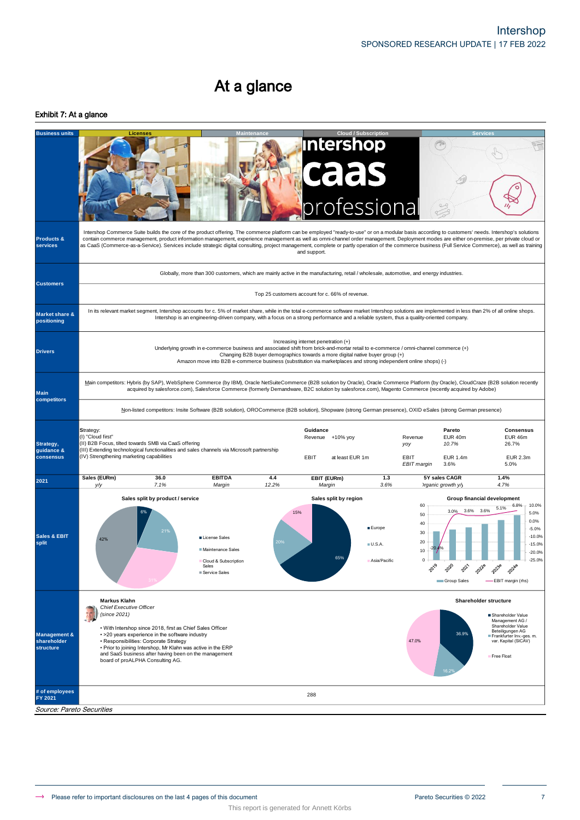# At a glance

## Exhibit 7: At a glance

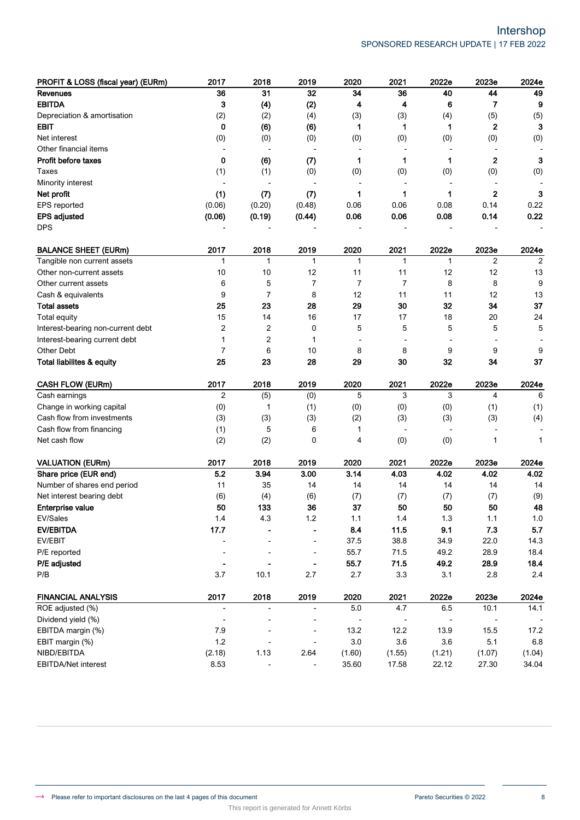| PROFIT & LOSS (fiscal year) (EURm)   | 2017                     | 2018                     | 2019                     | 2020                     | 2021                     | 2022e                    | 2023e          | 2024e   |
|--------------------------------------|--------------------------|--------------------------|--------------------------|--------------------------|--------------------------|--------------------------|----------------|---------|
| <b>Revenues</b>                      | 36                       | 31                       | 32                       | 34                       | 36                       | 40                       | 44             | 49      |
| <b>EBITDA</b>                        | 3                        | (4)                      | (2)                      | 4                        | 4                        | 6                        | 7              | 9       |
| Depreciation & amortisation          | (2)                      | (2)                      | (4)                      | (3)                      | (3)                      | (4)                      | (5)            | (5)     |
| EBIT                                 | 0                        | (6)                      | (6)                      | 1                        | 1                        | 1                        | 2              | 3       |
| Net interest                         | (0)                      | (0)                      | (0)                      | (0)                      | (0)                      | (0)                      | (0)            | (0)     |
| Other financial items                |                          | $\overline{\phantom{a}}$ |                          | $\overline{a}$           | $\overline{a}$           |                          | ÷              |         |
| Profit before taxes                  | 0                        | (6)                      | (7)                      | 1                        | 1                        | 1                        | $\mathbf{2}$   | 3       |
| Taxes                                | (1)                      | (1)                      | (0)                      | (0)                      | (0)                      | (0)                      | (0)            | (0)     |
| Minority interest                    |                          |                          |                          |                          |                          |                          |                |         |
| Net profit                           | (1)                      | (7)                      | (7)                      | 1                        | 1                        | 1                        | $\mathbf{2}$   | 3       |
| EPS reported                         | (0.06)                   | (0.20)                   | (0.48)                   | 0.06                     | 0.06                     | 0.08                     | 0.14           | 0.22    |
| <b>EPS adjusted</b>                  | (0.06)                   | (0.19)                   | (0.44)                   | 0.06                     | 0.06                     | 0.08                     | 0.14           | 0.22    |
| <b>DPS</b>                           |                          |                          |                          |                          |                          |                          |                |         |
| <b>BALANCE SHEET (EURm)</b>          | 2017                     | 2018                     | 2019                     | 2020                     | 2021                     | 2022e                    | 2023e          | 2024e   |
| Tangible non current assets          | 1                        | 1                        | 1                        | 1                        | 1                        | 1                        | $\overline{2}$ | 2       |
| Other non-current assets             | 10                       | 10                       | 12                       | 11                       | 11                       | 12                       | 12             | 13      |
| Other current assets                 | 6                        | 5                        | $\overline{7}$           | 7                        | $\overline{7}$           | 8                        | 8              | 9       |
| Cash & equivalents                   | 9                        | $\overline{7}$           | 8                        | 12                       | 11                       | 11                       | 12             | 13      |
| <b>Total assets</b>                  | 25                       | 23                       | 28                       | 29                       | 30                       | 32                       | 34             | 37      |
| Total equity                         | 15                       | 14                       | 16                       | 17                       | 17                       | 18                       | 20             | 24      |
| Interest-bearing non-current debt    | 2                        | 2                        | 0                        | 5                        | 5                        | 5                        | 5              | 5       |
| Interest-bearing current debt        | 1                        | 2                        | 1                        |                          |                          |                          |                |         |
| <b>Other Debt</b>                    | 7                        | 6                        | 10                       | 8                        | 8                        | 9                        | 9              | 9       |
| <b>Total liabilites &amp; equity</b> | 25                       | 23                       | 28                       | 29                       | 30                       | 32                       | 34             | 37      |
| <b>CASH FLOW (EURm)</b>              | 2017                     | 2018                     | 2019                     | 2020                     | 2021                     | 2022e                    | 2023e          | 2024e   |
| Cash earnings                        | $\overline{2}$           | (5)                      | (0)                      | 5                        | 3                        | 3                        | 4              | 6       |
| Change in working capital            | (0)                      | 1                        | (1)                      | (0)                      | (0)                      | (0)                      | (1)            | (1)     |
| Cash flow from investments           | (3)                      | (3)                      | (3)                      | (2)                      | (3)                      | (3)                      | (3)            | (4)     |
| Cash flow from financing             | (1)                      | 5                        | 6                        | 1                        | $\overline{\phantom{a}}$ | $\overline{\phantom{a}}$ |                |         |
| Net cash flow                        | (2)                      | (2)                      | 0                        | 4                        | (0)                      | (0)                      | 1              | 1       |
| <b>VALUATION (EURm)</b>              | 2017                     | 2018                     | 2019                     | 2020                     | 2021                     | 2022e                    | 2023e          | 2024e   |
| Share price (EUR end)                | 5.2                      | 3.94                     | 3.00                     | 3.14                     | 4.03                     | 4.02                     | 4.02           | 4.02    |
| Number of shares end period          | 11                       | 35                       | 14                       | 14                       | 14                       | 14                       | 14             | 14      |
| Net interest bearing debt            | (6)                      | (4)                      | (6)                      | (7)                      | (7)                      | (7)                      | (7)            | (9)     |
| <b>Enterprise value</b>              | 50                       | 133                      | 36                       | 37                       | 50                       | 50                       | 50             | 48      |
| EV/Sales                             | $1.4$                    | 4.3                      | 1.2                      | 1.1                      | 1.4                      | 1.3                      | 1.1            | $1.0$   |
| <b>EV/EBITDA</b>                     | 17.7                     |                          |                          | 8.4                      | 11.5                     | 9.1                      | 7.3            | 5.7     |
| EV/EBIT                              | ٠                        |                          |                          | 37.5                     | 38.8                     | 34.9                     | 22.0           | 14.3    |
| P/E reported                         |                          |                          | $\blacksquare$           | 55.7                     | 71.5                     | 49.2                     | 28.9           | 18.4    |
| P/E adjusted                         | ۰                        |                          |                          | 55.7                     | 71.5                     | 49.2                     | 28.9           | 18.4    |
| P/B                                  | 3.7                      | 10.1                     | 2.7                      | 2.7                      | 3.3                      | 3.1                      | 2.8            | $2.4\,$ |
| <b>FINANCIAL ANALYSIS</b>            | 2017                     | 2018                     | 2019                     | 2020                     | 2021                     | 2022e                    | 2023e          | 2024e   |
| ROE adjusted (%)                     | $\overline{\phantom{0}}$ | $\overline{\phantom{a}}$ | $\overline{\phantom{a}}$ | $5.0\,$                  | 4.7                      | 6.5                      | 10.1           | 14.1    |
| Dividend yield (%)                   | ٠                        |                          |                          | $\overline{\phantom{a}}$ | $\overline{\phantom{a}}$ |                          |                |         |
| EBITDA margin (%)                    | 7.9                      |                          | $\overline{\phantom{a}}$ | 13.2                     | 12.2                     | 13.9                     | 15.5           | 17.2    |
| EBIT margin (%)                      | 1.2                      |                          |                          | 3.0                      | 3.6                      | 3.6                      | 5.1            | 6.8     |
| NIBD/EBITDA                          | (2.18)                   | 1.13                     | 2.64                     | (1.60)                   | (1.55)                   | (1.21)                   | (1.07)         | (1.04)  |
| EBITDA/Net interest                  | 8.53                     |                          |                          | 35.60                    | 17.58                    | 22.12                    | 27.30          | 34.04   |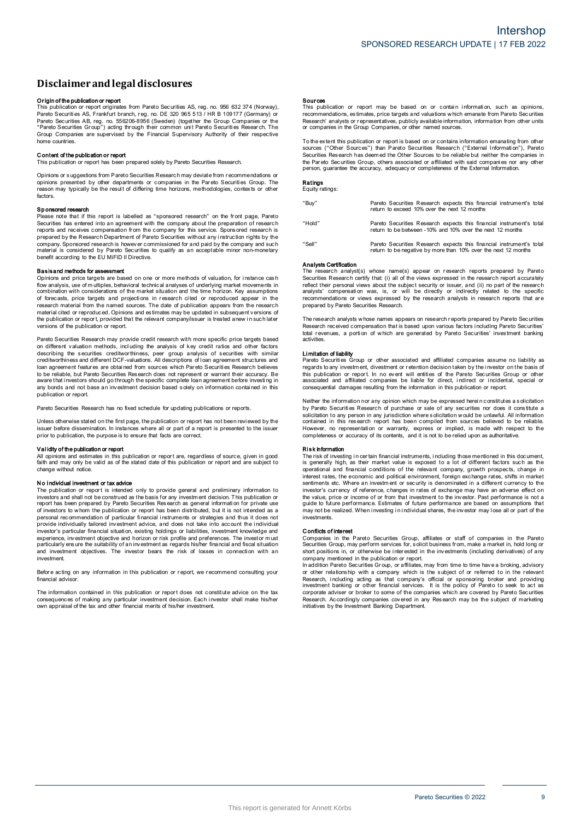# **Disclaimerandlegal disclosures Disclaimer and legal disclosures<br>Originof the publication or report<br>This publication or report originates from Pareto Securities AS, reg. no. 956 632 374 (Norway),**

**DISCIAIMET AND IEgal dISCIOSUTES**<br>This publication or report<br>This publication or report originates from Pareto Securities AS, reg. no. 956 632 374 (Norway)<br>Pareto Securities AS, Frankfurt branch, reg. no. DE 320 965 513 / Pareto Securities AB, reg. no. 556206-8956 (Sweden) (together the Group Companies or the **Origin of the publication or report**<br>This publication or report originates from Pareto Securities AS, reg. no. 956 632 374 (Norway)<br>Pareto Securities AS, Frankfurt branch, reg. no. DE 320 965 513 / HR B 109177 (Germany) o home countries. C ontent of the publication of the publication<br>Group Companies are supervised<br>home countries.<br>Content of the publication or report<br>This publication or report has been The coup Companies are supervised by the Financial Supervisory Authority of their respective<br>home countries.<br>**Content of the publication or report**<br>This publication or report<br>This publication or report as been prepared sol

Opinions or s uggestions from Pareto Securities Research may deviate from r ecommendations or **Content of the publication or report**<br>This publication or report has been prepared solely by Pareto Securities Research.<br>Opinions or suggestions from Pareto Securities Research may deviate from recommendations or<br>periodis factors. Sphintins presented by other departments or companies in the Pareto Securities Group. The reason may typically be the result of differing time horizons, methodologies, contexts or other factors.<br>**Sponsored research**<br>Please

Factors.<br> **Sponsored research**<br>
Please note that if this report is labelled as "sponsored research" on the front page, Pareto<br>
Securities has entered into an agreement with the company about the preparation of research<br>
Pl prepared by the Research Department of Pareto Securities without any instruction rights by the company. Sponsored research is however commissioned for and paid by the company and such material is considered by Pareto Secur

company and is considered by Pareto Securities to quality as an acceptable minor non-monetary<br>benefit according to the EU MiFID II Directive.<br>**Basisand methods for assessment**<br>Opinions and price targets are based on one or research material from the named sources. The date of publication appears from the research material cited or reproduced. Opinions and estimates may be updated in subsequent versions of combination with considerations of the market situation and the time horizon. Key assumptions of forecasts, price targets and projections in research cited or reproduced appear in the the combination with considerations of the market situation and the time horizon. Key assumptions of forecasts, price targets and projections in research cited or reproduced appear in the research material from the named s

Pareto Securities Research may provide credit research with more specific price targets based on different valuation methods, including the analysis of key credit ratios and other factors on different valuation or report, provided that the relevant company/issuer is treated anew in such later<br>versions of the publication or report.<br>Pareto Securities Research may provide credit research with more specific pri Persions of the publication or report.<br>Pareto Securities Research may provide credit research with more specific price targets based<br>on different valuation methods, including the analysis of key credit ratios and other fac loan agreement features are obtained from sources which Pareto Securities Research believes<br>to be reliable, but Pareto Securities Research does not represent or warrant their accuracy. Be<br>aware that investors should go thr publication or report.

Pareto Securities Research has no fixed schedule for updating publications or reports.

any but also an interested an investment decision based body on information or reports.<br>Pareto Securities Research has no fixed schedule for updating publications or reports.<br>Unless otherwise stated on the first page, the Unless otherwise stated on the first page, the publication or report has not been reviewed by the issuer before dissemination. In instances where all or part of a report is presented to the issuer prior to publication, the

faith and may only be valid as of the state and what call extends a performed to the issuer<br> **Validity of the publication or report**<br>
All opinions and estimates in this publication or report are, regardless of source, give change without notice. **N and publication or investment or tax advice**<br>All opinions and estimates in this publication or report are, regardless of source, given in good<br>faith and may only be valid as of the stated date of this publication or rep

Change without notice.<br>
No Individual Investment or tax advice<br>
The publication or report is intended only to provide general and preliminary information to<br>
The publication or report is intended only to provide general an The parameter of the constructed as the basis for any investment and purchasting in interestions and shall not be construed as the basis for any investment decision. This publication or report has been prepared by Pareto S investment. experience, investment objective and horizon or risk profile and preferences. The investor must particularly ensure the suitability of an investment as regards his/her financial and fiscal situation and investment objectiv

financial advisor

Investment<br>Before acting on any information in this publication or report, we recommend consulting your<br>financial advisor.<br>Consequences of making any particular investment decision. Each investor shall make his/her<br>consequ

**Sources**<br>This publication or report may be based on or contain information, such as opinions<br>recommendations, estimates, price targets and valuations which emanate from Pareto Securities<br>Research' analysts or representati The extent this publication or report is based on or contains which emanate from Pareto Securities<br>
Research' analysts or representatives, publicly available information, information from other units<br>
or companies in the G

Securities Res earch the Group Companies, or other named sources.<br>To the extent this publication or report is based on or contains information emanating from other<br>Sources ("Other Sources") than Pareto Securities Research person, guarantee the accuracy, adequacy or completeness of the External Information.

# **Ratings**<br>Equity ratings:

| "Buy"  | Pareto Securities Research expects this financial instrument's total<br>return to exceed 10% over the next 12 months                   |
|--------|----------------------------------------------------------------------------------------------------------------------------------------|
| "Hold" | Pareto Securities Research expects this financial instrument's total<br>return to be between -10% and 10% over the next 12 months      |
| "Sell" | Pareto Securities Research expects this financial instrument's total<br>return to be negative by more than 10% over the next 12 months |

### Analysts Certification

"Sell"<br>
The research analyst(s) whose name(s) appear on research reports prepared by Pareto<br>
The research analyst(s) whose name(s) appear on research reports prepared by Pareto<br>
Securities Research certify that: (i) all of reflect their personal views about the subject security or issuer, and (ii) no part of the research **Analysts Certification**<br>The research analyst(s) whose name(s) appear on research reports prepared by Paretc<br>Securities Research certify that: (i) all of the views expressed in the research report accurately<br>erflect their The research analyst(s) whose name(s) appear on research reports prepared by Pareto Securities Research certify that (i) all of the views expressed in the research report accurately reflect their personal views about the s

contract that propersation was, is, or will be directly or indirectly related to the specific<br>recommendations or views expressed by the research analysts in research reports that are<br>prepared by Pareto Securities Research. activities. Research received contains<br>Research received contains a pactivities.<br>Limitation of liability<br>Pareto Securities G total revenues, a portion of which are generated by Pareto Securities' investment banking<br>activities.<br> **Limitation of liability**<br>
Pareto Securities Group or other associated and affiliated companies assume no liability as<br>

activities.<br> **Limitation of liability**<br> **Pareto Securities** Group or other associated and affiliated companies assume no liability as<br>
regards to any investment, divestment or retention decision taken by the investor on th Neither the information or report. In no event will entities of the Pareto Securities Group or other<br>associated and affiliated companies be liable for direct, indirect or incidental, special or<br>consequential damages result

consequential damages resulting from the information in this publication or report.<br>Neither the information nor any opinion which may be expressed herein constitutes a solicitation<br>by Pareto Securities Research of purchase contained in this research report has been compiled from sources believed to be reliable. Neither the information nor any opinion which may be expressed herein constitutes a solicitation by Pareto Securities Research of purchase or sale of any securities nor does it constitute a solicitation to any person in an Solution of the risk information in the risk of the risk of the risk of the risk of the risk of the risk information or warranty, express or implied, is made with respect to the completeness or accuracy of its contents, an

completeness or accuracy of its contents, and it is not to be relied upon as authoritative.<br> **Risk hformation**<br> **Risk hformation**<br> **Risk hformation**<br> **Risk hformation**<br> **Risk hformation**<br> **Risk hformation**<br> **Risk hformatio** operational and financial conditions of the relevant company, growth prospects, change in interest rates, the economic and political environment, foreign exchange rates, shifts in market sentiments etc. Where an investor's the value of or income or from that investment or from that investment to the relevant company, growth prospects, change in interest rates, the economic and political environment, foreign exchange rates, shifts in market s marks traces, the continuous and pollonial shares, the continents etc. Where an investment of security is denominated in a different currency to the investor's currency of reference, changes in rates of exchange may have a investments. and value, price of<br>guide to future perf<br>may not be realized<br>investments.<br>**Conflicts of interest**<br>Companies in the

grave of the realized. When investing in individual shares, the investor may lose all or part of the<br>investments.<br>Conflicts of interest<br>Comparises in the Pareto Securities Group, affiliates or staff of companies in the Par Companies in the Pareto Securities Group, affiliates or staff of companies in the Pareto Securities Group, may perform services for, solicit business from, make a market in, hold long or company mentioned in the publicatio

short positions in, or otherwise be interested in the investments (including derivatives) of any<br>short positions in, or otherwise be interested in the investments (including derivatives) of any<br>company mentioned is depende or other relationship with a company which is the subject of or referred to in the relevant Research, including acting as that company's official or sponsoring broker and providing investment banking or other financial ser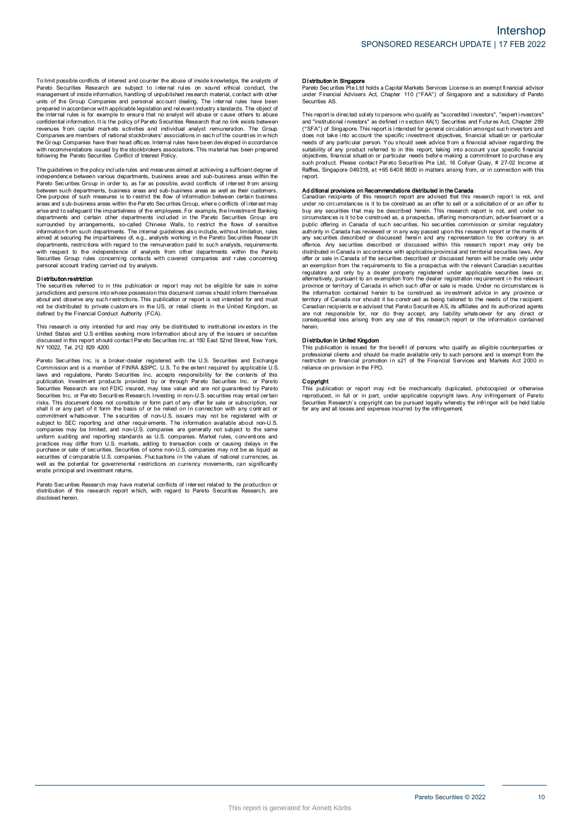To limit possible conflicts of interest and counter the abuse of inside knowledge, the analysts of<br>Pareto Securities Research are subject to internal rules on sound ethical conduct, the<br>management of inside information, ha To limit possible conflicts of interest and counter the abuse of inside knowledge, the analysts of Pareto Securities Research are subject to internal rules on sound ethical conduct, the management of inside information, ha revenues from capital markets activities and individual analyst remuneration. The Group and or the Chapter of the price with applicable legislation and relevant industry standards. The object of the internal rules is for example to ensure that no analyst will abuse or cause others to abuse the internal rules following the Pareto Securities Conflict of Interest Policy. The Group Companies have their head offices. Internal rules have been developed in accordance<br>with recommendations issued by the stockbrokers associations. This material has been prepared<br>following the Pareto Securities Co

independence between various departments, business areas and sub-business areas within the<br>Pareto Securities Group in order to, as far as possible, avoid conflicts of interest from arising Following the Pareto Securities Conflict of Interest Policy.<br>The guidelines in the policy include rules and measures aimed at achieving a sufficient degree of<br>independence between various departments, business areas and su between such departments, business areas and sub-business areas as well as their customers. The guidelines in the policy include rules and measures aimed at achieving a sufficient degree of<br>independence between various departments, business areas and sub-business areas within the<br>Pareto Securities Group in order areas and sub-business areas within the Pareto Securities Group, where conflicts of interest may arise and to safeguard the impartialness of the employees. For example, the Investment Banking departments and certain other areas and sub-business areas within the Pareto Securities Group, where conflicts of interest may<br>areas and sub-business areas within the Pareto Securities Group, where conflicts of interest may<br>arise and to safeguard the i with respect to the independence of analysts from other departments within the Pareto Securities Group and departments. The internal guidelines also include, without limitation, rules aimed at security the impartialness of, e.g., analysts working in the Pareto Securities Research departments, restrictions w mioniano in such ceparations. The interiar<br>aimed at securing the impartialness of, e.g., analysts.<br>departments, restrictions with regard to the ren<br>Securities Group rules concerning contacts w<br>personal account trading carr structure in the independence of analysts from other departments within the Pareto<br>Securities Group rules concerning contacts with covered companies and rules concerning<br>personal account trading carried out by analysts.<br>Th

**Distribution restriction**<br>The securities referred to in this publication or report may not be eligible for sale in some<br>jurisdictions and persons into whose possession this document comes s hould inform themselves **Distribution restriction**<br>The securities referred to in this publication or report may not be eligible for sale in some<br>initial citions and persons into whose possession this document comes should inform themselves<br>about This research is only intended for and must be distributed to private intended for and must<br>not be distributed to private customers in the US, or retail clients in the United Kingdom, as<br>defined by the Financial Conduct Au

United States and U.S entities seeking more information about any of the issuers or securities Note that the financial Conduct Authority (FCA).<br>This research is only intended for and may only be distributed to institutional investors in the<br>United States and U.S entities seking more information about any of the issu Pareto Securities Inc. is a broker-dealer registered with the U.S. Securities inc. in the same of securities discussed in this report should contact Pareto Securities Inc. at 150 East 52nd Street, New York, NY 10022, Tel.

of also used in this report should contact Pareto Securities Inc. at 150 East 52nd Street, New York, NY 10022, Tel. 212 829 4200.<br>NY 10022, Tel. 212 829 4200.<br>Commission and is a member of FINRA &SIPC. U.S. To the extent r Pareto Securities Inc. is a broker-dealer registered with the U.S. Securities and Exchange<br>Commission and is a member of FINRA &SIPC. U.S. To the extent required by applicable U.S<br>Idwas and regulations, Pareto Securities I Securities Research are not FDIC insured, may lose value and are not guaranteed by Pareto<br>Securities Research are not FDIC insured, may lose value and are not guaranteed by Pareto<br>Securities Inc. or Pareto Securities Resea prominent whatsoever. The securities of non-U.S. issuers may not be registered with or subject to SEC reporting and other requirements. The information available about non-U.S. companies may be limited, and non-U.S. compan securities of comparies may be limited, and non-U.S. companies are generally not subject to the same<br>uniform auditing and reporting standards as U.S. companies. Market rules, conventions and<br>practices may differ form U.S. erode principal and investment returns. pareto Securities of comparable U.S. comparises. Fluctuations in the values of rational currencies, as<br>well as the potential for governmental restrictions on currency movements, can significantly<br>erode principal and invest

disclosed herein.

ا<br>Pareto Securities Pte Ltd holds a Capital Markets Services License is an exempt financial advisor<br>Pareto Securities Pte Ltd holds a Capitar 110 ("FAA") of Singapore and a subsidiary of Pareto<br>سابقا المسلمين under Financial Advisers Act, Chapter 110 ("FAA") of Singapore and a subsidiary of Pareto Securities AS. Pareto Securities Pte Ltd holds a Capital Markets Services License is an exempt financial advisor<br>under Financial Advisers Act, Chapter 110 ("FAA") of Singapore and a subsidiary of Pareto<br>Securities AS.<br>This report is dire

ration conditions and a subsidiary of Parent uncertained solutions and a subsidiary of Parent<br>securities AS.<br>This report is directed solely to persons who qualify as "accredited investors", "expert investors"<br>and "institut and "institutional investors" as defined in section 4A(1) Securities and Futures Act, Chapter 289<br>("SFA") of Singapore. This report is intended for general circulation amongst such investors and<br>("SFA") of Singapore. This report.

such product. Please contact Pareto Securities Pte Ltd, 16 Collyer Quay, # 27-02 Income at Raffles, Singapore 049318, at +65 6408 9800 in matters arising from, or in connection with this report.<br> **Additional provisions on** under no circumstances is it to be construed as an offer to sell or a solicitation of or an offer to buy any securities that may be described herein. This research report is not, and under no circumstances is it to be cons under no circumstances is it to be construed as an offer to sell or a solicitation of or an offer to<br>buy any securities that may be described herein. This research report is not, and under no<br>circumstances is it to be cons offence. Any securities described or discussed within this research report may only be distributed in Canada in accordance with applicable provincial and territorial securities laws. Any offer or sale in Canada of the secu offence. Any securities described or discussed within this research report may only be distributed in Canada in accordance with applicable provincial and territorial securities laws. Any offer or sale in Canada of the secu province or territory of Canada in which such offer or sale is made. Under no circumstances is<br>the information contained herein to be construed as being tailored to the needs of the recipient.<br>Carritory of Canada nor shoul are province or territory of Canada in which such offer or sale is made. Under no circumstances is the information contained herein to be construed as being tailored to the needs of the recipient. Canadian recipients are a herein. benefit and the stribution in United Kingdom<br>This publication is united Kingdom<br>Distribution in United Kingdom<br>This publication is issued for the benefit of persons who qualify as eligible counterparties or<br>professional cl

professional clients and should be made available only to such persons and is exempt from the metriction on financial promotion in s21 of the Financial Services and Markets Act 2000 in reliance on provision in the FPO. The professional clients and should be made available only to such persons and is exempt from the restriction on financial promotion in s21 of the Financial Services and Markets Act 2000 in reliance on provision in the FPO

reliance on provision in the FPO.<br> **Copyright**<br>
This publication or report may not be mechanically duplicated, photocopied or otherwise<br>
reproduced, in full or in part, under applicable copyright laws. Any infringement of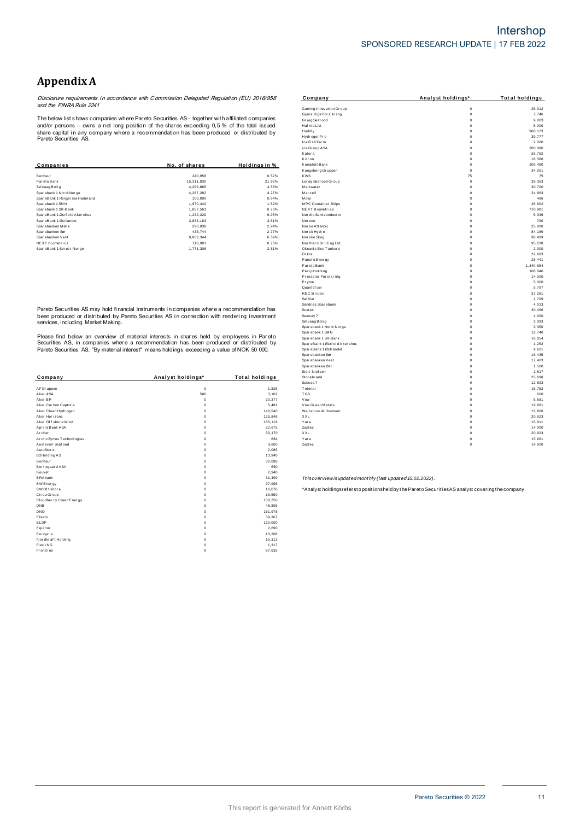# **Appendix A**

**Appendix A**<br>Disclosure requirements in accordance with Commission Delegated Regulation (EU) 2016/958<br>and the FINRA Rule 2241

|               |               | Kitron                  | $\Omega$    | 18,386  |
|---------------|---------------|-------------------------|-------------|---------|
| No. of shares | Holdings in % | Komplett Bank           |             | 209,400 |
|               |               | Kongsberg Gruppen       | $\mathbf 0$ | 34,00   |
| 240,958       | 0.57%         | <b>KWS</b>              | 75          | 7:      |
| 15,311,030    | 21.92%        | Ler øy Seaf ood Gr oup  | $\mathbf 0$ | 39,36   |
| 4,289,865     | 4.58%         | Meltwater               | $\Omega$    | 30,70   |
| 4,287,282     | 4.27%         | Mercell                 | $\Omega$    | 24,86   |
| 100,000       | 0.64%         | Mowi                    | $^{\circ}$  | 48      |
| 1,970,442     | 1.52%         | MPC Container Ships     | $^{\circ}$  | 45,90   |
| 1,857,563     | 0.73%         | <b>NEXT Biometrics</b>  | $\Omega$    | 710,90  |
| 1,232,229     | 9.95%         | Nor dic Semi conductor  | $\Omega$    | 5,33    |
| 3,833,163     | 3.61%         | Noreco                  |             | 79      |
| 290,038       | 2.94%         | Norse Atlantic          | $\Omega$    | 25,000  |
| 433,744       | 2.77%         | Norsk Hydro             | $\Omega$    | 84,189  |
| 6,862,344     | 6.39%         | Nor ske Skog            | $\Omega$    | 98,49   |
| 710.901       | 0.78%         | Nor thern Drilling Ltd. | $\Omega$    | 95,23   |
| 1,771,308     | 2.81%         | Okeanis Eco Tankers     | 0           | 2,00    |
|               |               |                         |             |         |

|                          |                   |                       | <b>OF OIL LAT CLOCK</b>                                                                           |             | 1,01   |
|--------------------------|-------------------|-----------------------|---------------------------------------------------------------------------------------------------|-------------|--------|
| Company                  | Analyst holdings* | <b>Total holdings</b> | Stor ebr and                                                                                      | $\Omega$    | 25,69  |
|                          |                   |                       | Subsea 7                                                                                          | $\Omega$    | 12,89  |
| AF Gr uppen              | $\mathbf 0$       | 1,825                 | Telenor                                                                                           | $\Omega$    | 15,75  |
| Aker ASA                 | 500               | 3,102                 | <b>TGS</b>                                                                                        | $\Omega$    | 60     |
| Aker BP                  | $^{\circ}$        | 20,377                | Vow                                                                                               | $\Omega$    | 5,68   |
| Aker Carbon Capture      | $\Omega$          | 5,481                 | Vow Green Metals                                                                                  | $\Omega$    | 19,68  |
| Aker Clean Hydrogen      | $\Omega$          | 140,540               | Wallenius Wilhemsen                                                                               | $\Omega$    | 15,80  |
| Aker Horizons            |                   | 125,848               | XXL                                                                                               | $\mathbf 0$ | 20,92  |
| Aker Of f shore Wind     |                   | 165,118               | Yara                                                                                              | $\Omega$    | 15,91  |
| Aprila Bank ASA          |                   | 22,675                | Zaptec                                                                                            | $\Omega$    | 14,000 |
| Archer                   |                   | 30,170                | XXL                                                                                               | $\Omega$    | 20,92  |
| ArcticZymes Technologies |                   | 684                   | Yara                                                                                              | $\mathbf 0$ | 15,68  |
| Austevoll Seaf ood       |                   | 3,600                 | Zaptec                                                                                            | $\mathbf 0$ | 14,000 |
| AutoStore                |                   | 2,085                 |                                                                                                   |             |        |
| B2Holding AS             |                   | 13,940                |                                                                                                   |             |        |
| Bonheur                  |                   | 32,088                |                                                                                                   |             |        |
| Borregaard ASA           |                   | 650                   |                                                                                                   |             |        |
| Bouvet                   |                   | 2,940                 |                                                                                                   |             |        |
| <b>BRAbank</b>           |                   | 31,499                | Thisoverview isupdated monthly (last updated 15.02.2022).                                         |             |        |
| BW Energy                |                   | 97,965                |                                                                                                   |             |        |
| BW Of f shore            |                   | 16,076                | *Analyst holdingsrefersto positionsheld by the Pareto Securities AS analyst covering the company. |             |        |
| Circa Group              |                   | 16,550                |                                                                                                   |             |        |
| Cloudber ry Clean Energy |                   | 100,250               |                                                                                                   |             |        |
| DNB                      |                   | 48,805                |                                                                                                   |             |        |
| DNO                      |                   | 151,978               |                                                                                                   |             |        |
| Elkem                    |                   | 39,367                |                                                                                                   |             |        |
| ELOP                     |                   | 130,000               |                                                                                                   |             |        |
| Equinor                  |                   | 2,690                 |                                                                                                   |             |        |
| Europris                 |                   | 13,208                |                                                                                                   |             |        |
| Fjordkraft Holding       |                   | 15,313                |                                                                                                   |             |        |
| Flex LNG                 |                   | 1,317                 |                                                                                                   |             |        |
| Frontline                | $\Omega$          | 87,635                |                                                                                                   |             |        |
|                          |                   |                       |                                                                                                   |             |        |

| Appendix A                                                                                                                         |                                                                                                |                                            |                                               |                          |                       |
|------------------------------------------------------------------------------------------------------------------------------------|------------------------------------------------------------------------------------------------|--------------------------------------------|-----------------------------------------------|--------------------------|-----------------------|
|                                                                                                                                    | Disclosure requirements in accordance with Commission Delegated Regulation (EU) 2016/958       |                                            | Company                                       | Analyst holdings*        | <b>Total holdings</b> |
| and the FINRA Rule 2241                                                                                                            |                                                                                                |                                            | Gaming Innovation Group                       | $\mathbf 0$              | 25,912                |
|                                                                                                                                    |                                                                                                |                                            | Gjensidige For sikring                        | $\mathbb O$              | 7,746                 |
|                                                                                                                                    | The below list shows companies where Pareto Securities AS - together with affiliated companies |                                            | Grieg Seafood                                 | $\mathbb O$              | 9,003                 |
|                                                                                                                                    | and/or persons - owns a net long position of the shares exceeding 0,5 % of the total issued    |                                            | Haf nia Ltd.                                  | $\mathbf{0}$             | 5,000                 |
|                                                                                                                                    | share capital in any company where a recommendation has been produced or distributed by        |                                            | Huddly                                        | $\mathbf{0}$             | 906.173               |
| Pareto Securities AS.                                                                                                              |                                                                                                |                                            | Hydr ogenPr o                                 | $\Omega$                 | 39,777                |
|                                                                                                                                    |                                                                                                |                                            | Ice Fish Farm                                 | $\Omega$                 | 2,000                 |
|                                                                                                                                    |                                                                                                |                                            | ice Group ASA                                 | $\Omega$                 | 200,000               |
|                                                                                                                                    |                                                                                                |                                            | Kalera                                        | $\mathbf{0}$             | 26,752                |
|                                                                                                                                    |                                                                                                |                                            | Kitron                                        | $\mathbf{0}$<br>$\Omega$ | 18,386<br>209,400     |
| Companies                                                                                                                          | No. of shares                                                                                  | Holdings in %                              | Komplett Bank<br>Kongsberg Gruppen            | $\mathbb O$              | 34,001                |
| Bonheur                                                                                                                            | 240,958                                                                                        | 0.57%                                      | <b>KWS</b>                                    | 75                       | 75                    |
| Pareto Bank                                                                                                                        | 15,311,030                                                                                     | 21.92%                                     | Ler øy Seaf ood Gr oup                        | $\mathbf 0$              | 39,363                |
| Selvaag Bolig                                                                                                                      | 4,289,865                                                                                      | 4.58%                                      | Meltwater                                     | $\Omega$                 | 30,700                |
| Sparebank 1 Nor d-Nor ge                                                                                                           | 4,287,282                                                                                      | 4.27%                                      | Mercell                                       | $\Omega$                 | 24,863                |
| SpareBank 1 Ringer ike Hadeland                                                                                                    | 100,000                                                                                        | 0.64%                                      | Mowi                                          | $\circ$                  | 486                   |
| Sparebank 1 SMN                                                                                                                    | 1,970,442                                                                                      | 1.52%                                      | MPC Container Ships                           | $\mathbb O$              | 45,902                |
| Sparebank 1 SR-Bank                                                                                                                | 1,857,563                                                                                      | 0.73%                                      | <b>NEXT Biometrics</b>                        | $\mathbf 0$              | 710,901               |
| SpareBank 1 Østf old Akershus                                                                                                      | 1,232,229                                                                                      | 9.95%                                      | Nor dic Semi conductor                        | $\mathbb O$              | 5,336                 |
| SpareBank 1 Østlandet                                                                                                              | 3,833,163                                                                                      | 3.61%                                      | Noreco                                        | $\Omega$                 | 790                   |
| Sparebanken Møre                                                                                                                   | 290,038                                                                                        | 2.94%                                      | Nor se Atlantic                               | $\mathbf{0}$             | 25,000                |
| Sparebanken Sør                                                                                                                    | 433.744                                                                                        | 2.77%                                      | Norsk Hydro                                   | $\mathbf{0}$             | 84,189                |
| Sparebanken Vest                                                                                                                   | 6,862,344                                                                                      | 6.39%                                      | Nor ske Skog                                  | $\mathbf{0}$             | 98,499                |
| NEXT Biometrics<br>SpareBank 1 Sørøst-Norge                                                                                        | 710,901                                                                                        | 0.78%<br>2.81%                             | Northern Drilling Ltd.<br>Okeanis Eco Tankers | $^{\circ}$<br>$\Omega$   | 95,238<br>2,000       |
|                                                                                                                                    | 1,771,308                                                                                      |                                            | Orkla                                         | $\Omega$                 | 22,683                |
|                                                                                                                                    |                                                                                                |                                            | Panor o Ener gy                               | $^{\circ}$               | 28,441                |
|                                                                                                                                    |                                                                                                |                                            | Par eto Bank                                  | $\mathbb O$              | 1,340,684             |
|                                                                                                                                    |                                                                                                |                                            | Pexip Holding                                 | $\mathbb O$              | 108,046               |
|                                                                                                                                    |                                                                                                |                                            | Protector Forsikring                          | $\mathbb O$              | 14,000                |
|                                                                                                                                    |                                                                                                |                                            | Pryme                                         | $\mathbf{0}$             | 5,000                 |
|                                                                                                                                    |                                                                                                |                                            | Quantaf uel                                   | $\Omega$                 | 5,797                 |
|                                                                                                                                    |                                                                                                |                                            | REC Silicon                                   | $\Omega$                 | 37,281                |
|                                                                                                                                    |                                                                                                |                                            | Sal Mar                                       | $^{\circ}$               | 2,799                 |
|                                                                                                                                    | Pareto Securities AS may hold financial instruments in companies where a recommendation has    |                                            | Sandnes Sparebank                             | $\mathbb O$              | 4,013                 |
|                                                                                                                                    |                                                                                                |                                            | Scatec                                        | $\Omega$                 | 30,456                |
| been produced or distributed by Pareto Securities AS in connection with rendering investment<br>services, including Market Making. |                                                                                                | Seaway 7                                   | $\Omega$<br>$\Omega$                          | 4,000<br>3,093           |                       |
|                                                                                                                                    |                                                                                                | Selvaag Bolig<br>Spar ebank 1 Nor d-Nor ge | $\mathbf{0}$                                  | 3,350                    |                       |
|                                                                                                                                    |                                                                                                |                                            | Spar ebank 1 SMN                              | $\mathbf{0}$             | 12.740                |
| Please find below an overview of material interests in shares held by employees in Pareto                                          |                                                                                                |                                            | Spar ebank 1 SR-Bank                          | $\Omega$                 | 16,054                |
| Securities AS, in companies where a recommendation has been produced or distributed by                                             |                                                                                                |                                            | SpareBank 1 Østf old Aker shus                | $\circ$                  | 1,252                 |
|                                                                                                                                    | Pareto Securities AS. "By material interest" means holdings exceeding a value of NOK 50 000.   |                                            | Spar eBank 1 Østl andet                       | $\circ$                  | 9,621                 |
|                                                                                                                                    |                                                                                                |                                            | Spar ebanken Sør                              | $^{\circ}$               | 16,435                |
|                                                                                                                                    |                                                                                                |                                            | Spar ebanken Vest                             | $\Omega$                 | 17,463                |
|                                                                                                                                    |                                                                                                |                                            | Spar ebanken Øst                              | $\Omega$                 | 1,500                 |
|                                                                                                                                    |                                                                                                |                                            | Stolt-Nielsen                                 | $\circ$                  | 1,817                 |
| Company                                                                                                                            | Analyst holdings*                                                                              | Total holdings                             | Stor ebr and                                  | $\mathbb O$              | 25,698                |
|                                                                                                                                    |                                                                                                |                                            | Subsea 7                                      | $\mathbf{0}$             | 12,893                |
| AF Gr uppen                                                                                                                        | $\bf 0$<br>500                                                                                 | 1,825<br>3,102                             | Telenor<br><b>TGS</b>                         | $\Omega$<br>$\Omega$     | 15,752<br>600         |
| Aker ASA<br>Aker BP                                                                                                                | $\mathbf{0}$                                                                                   | 20,377                                     | Vow                                           | $\Omega$                 | 5,681                 |
| Aker Carbon Capture                                                                                                                | $\mathbf{0}$                                                                                   | 5.481                                      | Vow Green Metals                              | $\mathbf{0}$             | 19.681                |
| Aker Clean Hydrogen                                                                                                                | $\Omega$                                                                                       | 140,540                                    | Wallenius Wilhemsen                           | $\Omega$                 | 15,800                |
| Aker Horizons                                                                                                                      | $\Omega$                                                                                       | 125,848                                    | XXL                                           | $\Omega$                 | 20,923                |
| Aker Offshore Wind                                                                                                                 | $\Omega$                                                                                       | 165,118                                    | Yara                                          | $\Omega$                 | 15,911                |
| Aprila Bank ASA                                                                                                                    | $\Omega$                                                                                       | 22,675                                     | Zaptec                                        | $\Omega$                 | 14,000                |
| Archer                                                                                                                             | $^{\circ}$                                                                                     | 30,170                                     | XXL                                           | $^{\circ}$               | 20,923                |
| ArcticZymes Technologies                                                                                                           | $^{\circ}$                                                                                     | 684                                        | Yara                                          | $\mathbb O$              | 15,681                |
| Austevoll Seaf ood                                                                                                                 | $^{\circ}$                                                                                     | 3,600                                      | Zaptec                                        | $\circ$                  | 14,000                |
| AutoStore                                                                                                                          | $\Omega$                                                                                       | 2,085                                      |                                               |                          |                       |